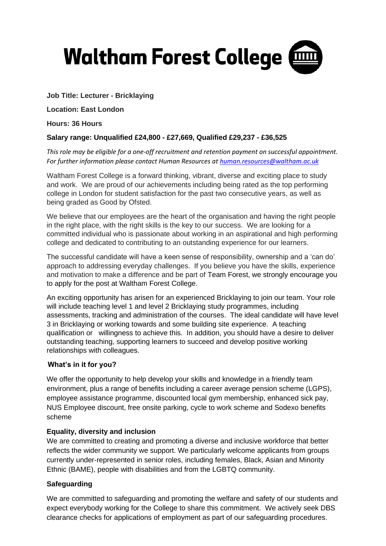

# **Job Title: Lecturer - Bricklaying**

**Location: East London**

**Hours: 36 Hours**

# **Salary range: Unqualified £24,800 - £27,669, Qualified £29,237 - £36,525**

*This role may be eligible for a one-off recruitment and retention payment on successful appointment. For further information please contact Human Resources at [human.resources@waltham.ac.uk](mailto:human.resources@waltham.ac.uk)*

Waltham Forest College is a forward thinking, vibrant, diverse and exciting place to study and work. We are proud of our achievements including being rated as the top performing college in London for student satisfaction for the past two consecutive years, as well as being graded as Good by Ofsted.

We believe that our employees are the heart of the organisation and having the right people in the right place, with the right skills is the key to our success. We are looking for a committed individual who is passionate about working in an aspirational and high performing college and dedicated to contributing to an outstanding experience for our learners.

The successful candidate will have a keen sense of responsibility, ownership and a 'can do' approach to addressing everyday challenges. If you believe you have the skills, experience and motivation to make a difference and be part of Team Forest, we strongly encourage you to apply for the post at Waltham Forest College.

An exciting opportunity has arisen for an experienced Bricklaying to join our team. Your role will include teaching level 1 and level 2 Bricklaying study programmes, including assessments, tracking and administration of the courses. The ideal candidate will have level 3 in Bricklaying or working towards and some building site experience. A teaching qualification or willingness to achieve this. In addition, you should have a desire to deliver outstanding teaching, supporting learners to succeed and develop positive working relationships with colleagues.

## **What's in it for you?**

We offer the opportunity to help develop your skills and knowledge in a friendly team environment, plus a range of benefits including a career average pension scheme (LGPS), employee assistance programme, discounted local gym membership, enhanced sick pay, NUS Employee discount, free onsite parking, cycle to work scheme and Sodexo benefits scheme

## **Equality, diversity and inclusion**

We are committed to creating and promoting a diverse and inclusive workforce that better reflects the wider community we support. We particularly welcome applicants from groups currently under-represented in senior roles, including females, Black, Asian and Minority Ethnic (BAME), people with disabilities and from the LGBTQ community.

## **Safeguarding**

We are committed to safeguarding and promoting the welfare and safety of our students and expect everybody working for the College to share this commitment. We actively seek DBS clearance checks for applications of employment as part of our safeguarding procedures.